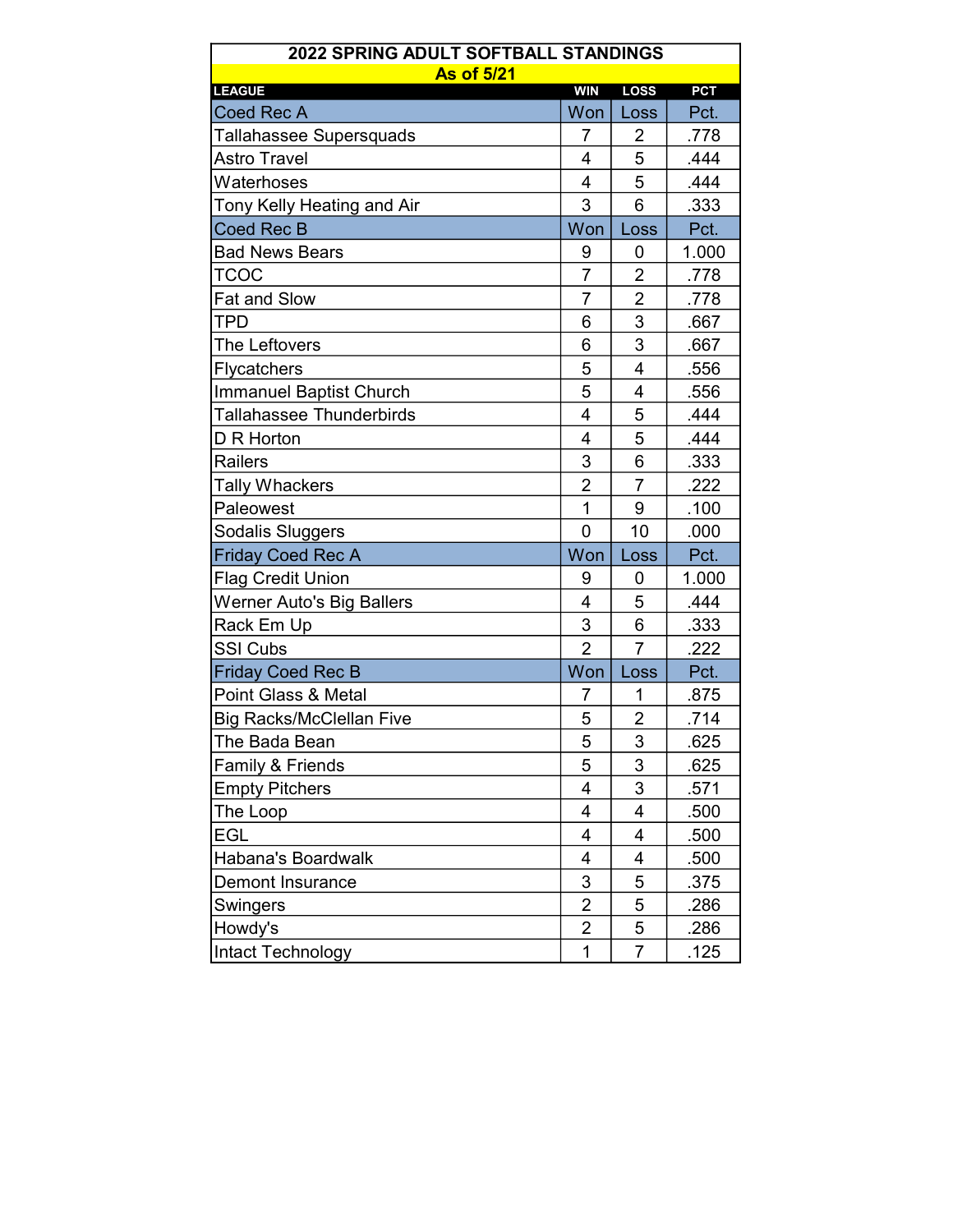| 2022 SPRING ADULT SOFTBALL STANDINGS |                |                |            |  |  |
|--------------------------------------|----------------|----------------|------------|--|--|
| <b>As of 5/21</b><br><b>LEAGUE</b>   | <b>WIN</b>     | <b>LOSS</b>    | <b>PCT</b> |  |  |
| <b>Coed Rec A</b>                    | Won            | Loss           | Pct.       |  |  |
| Tallahassee Supersquads              | 7              | $\overline{2}$ | .778       |  |  |
| <b>Astro Travel</b>                  | 4              | 5              | .444       |  |  |
| Waterhoses                           | 4              | 5              | .444       |  |  |
| Tony Kelly Heating and Air           | 3              | 6              | .333       |  |  |
| Coed Rec B                           | Won            | Loss           | Pct.       |  |  |
| <b>Bad News Bears</b>                | 9              | 0              | 1.000      |  |  |
| <b>TCOC</b>                          | $\overline{7}$ | $\overline{2}$ | .778       |  |  |
| <b>Fat and Slow</b>                  | 7              | $\overline{2}$ | .778       |  |  |
| TPD                                  | 6              | 3              | .667       |  |  |
| The Leftovers                        | 6              | 3              | .667       |  |  |
| Flycatchers                          | 5              | $\overline{4}$ | .556       |  |  |
| <b>Immanuel Baptist Church</b>       | 5              | 4              | .556       |  |  |
| <b>Tallahassee Thunderbirds</b>      | $\overline{4}$ | 5              | .444       |  |  |
| D R Horton                           | $\overline{4}$ | 5              | .444       |  |  |
| <b>Railers</b>                       | 3              | 6              | .333       |  |  |
| <b>Tally Whackers</b>                | $\overline{2}$ | 7              | .222       |  |  |
| Paleowest                            | 1              | 9              | .100       |  |  |
| Sodalis Sluggers                     | $\mathbf 0$    | 10             | .000       |  |  |
| <b>Friday Coed Rec A</b>             | Won            | Loss           | Pct.       |  |  |
| <b>Flag Credit Union</b>             | 9              | 0              | 1.000      |  |  |
| <b>Werner Auto's Big Ballers</b>     | $\overline{4}$ | 5              | .444       |  |  |
| Rack Em Up                           | 3              | 6              | .333       |  |  |
| <b>SSI Cubs</b>                      | $\overline{2}$ | 7              | .222       |  |  |
| <b>Friday Coed Rec B</b>             | Won            | Loss           | Pct.       |  |  |
| Point Glass & Metal                  | 7              | 1              | .875       |  |  |
| <b>Big Racks/McClellan Five</b>      | 5              | $\overline{2}$ | .714       |  |  |
| The Bada Bean                        | 5              | 3              | .625       |  |  |
| Family & Friends                     | 5              | 3              | .625       |  |  |
| <b>Empty Pitchers</b>                | 4              | 3              | .571       |  |  |
| The Loop                             | 4              | $\overline{4}$ | .500       |  |  |
| EGL                                  | 4              | 4              | .500       |  |  |
| <b>Habana's Boardwalk</b>            | 4              | 4              | .500       |  |  |
| <b>Demont Insurance</b>              | 3              | 5              | .375       |  |  |
| Swingers                             | 2              | 5              | .286       |  |  |
| Howdy's                              | $\overline{2}$ | 5              | .286       |  |  |
| Intact Technology                    | 1              | 7              | .125       |  |  |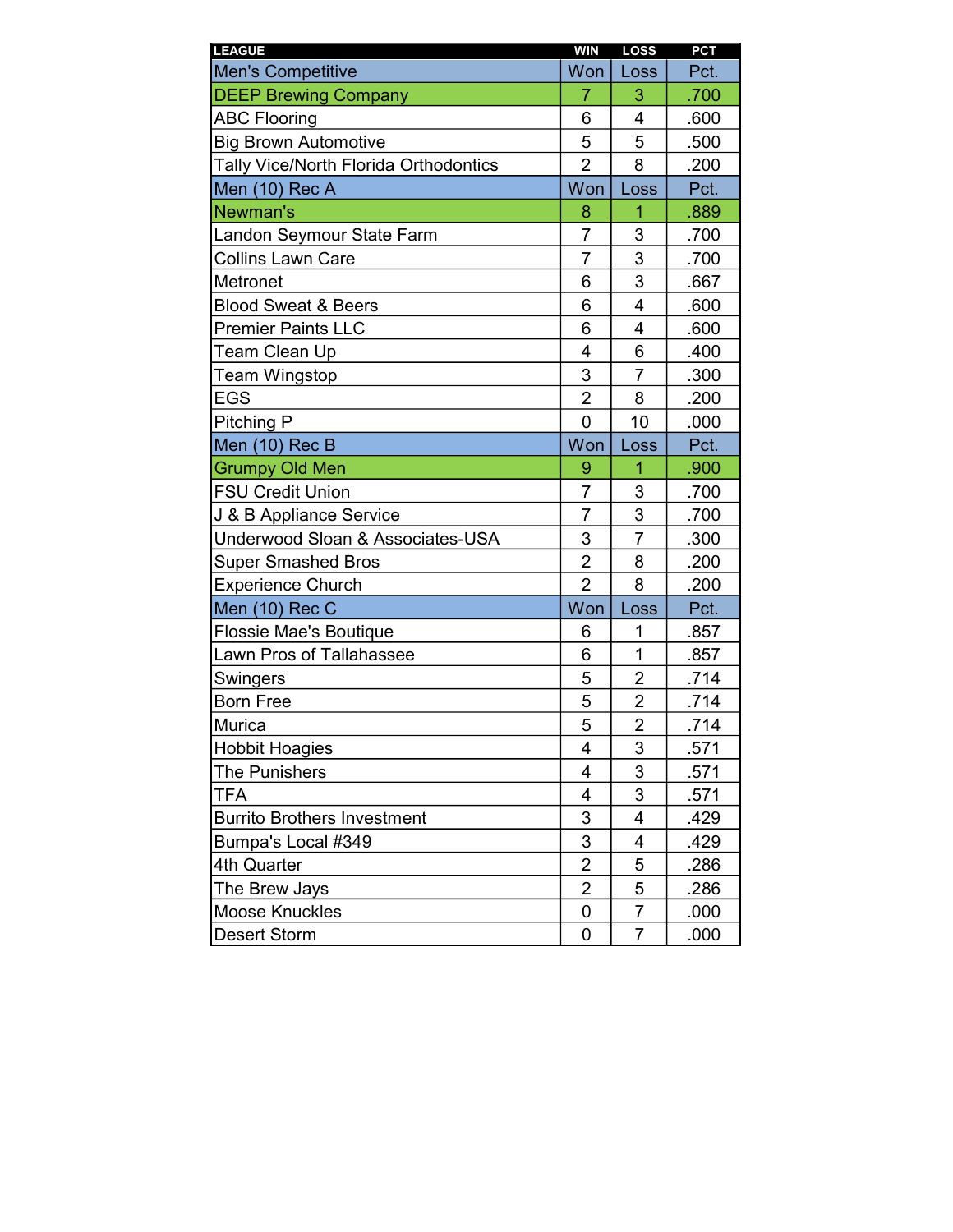| <b>LEAGUE</b>                         | <b>WIN</b>              | LOSS           | <b>PCT</b> |
|---------------------------------------|-------------------------|----------------|------------|
| <b>Men's Competitive</b>              | Won                     | Loss           | Pct.       |
| <b>DEEP Brewing Company</b>           | $\overline{7}$          | 3              | .700       |
| <b>ABC Flooring</b>                   | 6                       | 4              | .600       |
| <b>Big Brown Automotive</b>           | 5                       | 5              | .500       |
| Tally Vice/North Florida Orthodontics | $\overline{2}$          | 8              | .200       |
| Men (10) Rec A                        | Won                     | Loss           | Pct.       |
| Newman's                              | 8                       | $\overline{1}$ | .889       |
| Landon Seymour State Farm             | 7                       | 3              | .700       |
| <b>Collins Lawn Care</b>              | 7                       | 3              | .700       |
| Metronet                              | 6                       | 3              | .667       |
| <b>Blood Sweat &amp; Beers</b>        | 6                       | $\overline{4}$ | .600       |
| <b>Premier Paints LLC</b>             | 6                       | 4              | .600       |
| Team Clean Up                         | $\overline{\mathbf{4}}$ | 6              | .400       |
| <b>Team Wingstop</b>                  | 3                       | $\overline{7}$ | .300       |
| <b>EGS</b>                            | $\overline{2}$          | 8              | .200       |
| Pitching P                            | $\overline{0}$          | 10             | .000       |
| Men (10) Rec B                        | Won                     | Loss           | Pct.       |
| <b>Grumpy Old Men</b>                 | 9                       | $\overline{1}$ | .900       |
| <b>FSU Credit Union</b>               | $\overline{7}$          | 3              | .700       |
| J & B Appliance Service               | $\overline{7}$          | 3              | .700       |
| Underwood Sloan & Associates-USA      | 3                       | $\overline{7}$ | .300       |
| <b>Super Smashed Bros</b>             | $\overline{2}$          | 8              | .200       |
| <b>Experience Church</b>              | $\overline{2}$          | 8              | .200       |
| Men (10) Rec C                        | Won                     | Loss           | Pct.       |
| Flossie Mae's Boutique                | 6                       | 1              | .857       |
| <b>Lawn Pros of Tallahassee</b>       | 6                       | $\mathbf{1}$   | .857       |
| Swingers                              | 5                       | $\overline{2}$ | .714       |
| <b>Born Free</b>                      | 5                       | $\overline{2}$ | .714       |
| Murica                                | 5                       | $\overline{2}$ | .714       |
| <b>Hobbit Hoagies</b>                 | 4                       | 3              | .571       |
| <b>The Punishers</b>                  | 4                       | 3              | .571       |
| <b>TFA</b>                            | 4                       | 3              | .571       |
| <b>Burrito Brothers Investment</b>    | 3                       | 4              | .429       |
| Bumpa's Local #349                    | 3                       | 4              | .429       |
| 4th Quarter                           | $\overline{2}$          | 5              | .286       |
| The Brew Jays                         | $\overline{2}$          | 5              | .286       |
| <b>Moose Knuckles</b>                 | 0                       | 7              | .000       |
| <b>Desert Storm</b>                   | 0                       | 7              | .000       |